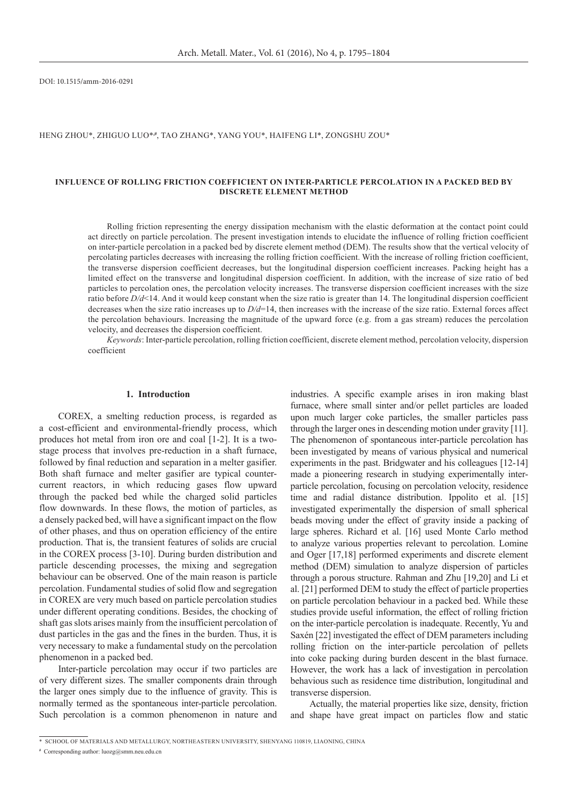DOI: 10.1515/amm-2016-0291

## HENG ZHOU\*, ZHIGUO LUO\*<sup>#</sup>, TAO ZHANG\*, YANG YOU\*, HAIFENG LI\*, ZONGSHU ZOU\*

## **Influence of Rolling Friction Coefficient on Inter-particle Percolation in a Packed Bed by Discrete Element Method**

Rolling friction representing the energy dissipation mechanism with the elastic deformation at the contact point could act directly on particle percolation. The present investigation intends to elucidate the influence of rolling friction coefficient on inter-particle percolation in a packed bed by discrete element method (DEM). The results show that the vertical velocity of percolating particles decreases with increasing the rolling friction coefficient. With the increase of rolling friction coefficient, the transverse dispersion coefficient decreases, but the longitudinal dispersion coefficient increases. Packing height has a limited effect on the transverse and longitudinal dispersion coefficient. In addition, with the increase of size ratio of bed particles to percolation ones, the percolation velocity increases. The transverse dispersion coefficient increases with the size ratio before *D/d*<14. And it would keep constant when the size ratio is greater than 14. The longitudinal dispersion coefficient decreases when the size ratio increases up to *D/d*=14, then increases with the increase of the size ratio. External forces affect the percolation behaviours. Increasing the magnitude of the upward force (e.g. from a gas stream) reduces the percolation velocity, and decreases the dispersion coefficient.

*Keywords*: Inter-particle percolation, rolling friction coefficient, discrete element method, percolation velocity, dispersion coefficient

## **1. Introduction**

COREX, a smelting reduction process, is regarded as a cost-efficient and environmental-friendly process, which produces hot metal from iron ore and coal [1-2]. It is a twostage process that involves pre-reduction in a shaft furnace, followed by final reduction and separation in a melter gasifier. Both shaft furnace and melter gasifier are typical countercurrent reactors, in which reducing gases flow upward through the packed bed while the charged solid particles flow downwards. In these flows, the motion of particles, as a densely packed bed, will have a significant impact on the flow of other phases, and thus on operation efficiency of the entire production. That is, the transient features of solids are crucial in the COREX process [3-10]. During burden distribution and particle descending processes, the mixing and segregation behaviour can be observed. One of the main reason is particle percolation. Fundamental studies of solid flow and segregation in COREX are very much based on particle percolation studies under different operating conditions. Besides, the chocking of shaft gas slots arises mainly from the insufficient percolation of dust particles in the gas and the fines in the burden. Thus, it is very necessary to make a fundamental study on the percolation phenomenon in a packed bed.

Inter-particle percolation may occur if two particles are of very different sizes. The smaller components drain through the larger ones simply due to the influence of gravity. This is normally termed as the spontaneous inter-particle percolation. Such percolation is a common phenomenon in nature and industries. A specific example arises in iron making blast furnace, where small sinter and/or pellet particles are loaded upon much larger coke particles, the smaller particles pass through the larger ones in descending motion under gravity [11]. The phenomenon of spontaneous inter-particle percolation has been investigated by means of various physical and numerical experiments in the past. Bridgwater and his colleagues [12-14] made a pioneering research in studying experimentally interparticle percolation, focusing on percolation velocity, residence time and radial distance distribution. Ippolito et al. [15] investigated experimentally the dispersion of small spherical beads moving under the effect of gravity inside a packing of large spheres. Richard et al. [16] used Monte Carlo method to analyze various properties relevant to percolation. Lomine and Oger [17,18] performed experiments and discrete element method (DEM) simulation to analyze dispersion of particles through a porous structure. Rahman and Zhu [19,20] and Li et al. [21] performed DEM to study the effect of particle properties on particle percolation behaviour in a packed bed. While these studies provide useful information, the effect of rolling friction on the inter-particle percolation is inadequate. Recently, Yu and Saxén [22] investigated the effect of DEM parameters including rolling friction on the inter-particle percolation of pellets into coke packing during burden descent in the blast furnace. However, the work has a lack of investigation in percolation behavious such as residence time distribution, longitudinal and transverse dispersion.

Actually, the material properties like size, density, friction and shape have great impact on particles flow and static

<sup>\*</sup> School of Materials and Metallurgy, Northeastern University, Shenyang 110819, Liaoning, China

**<sup>#</sup>** Corresponding author: luozg@smm.neu.edu.cn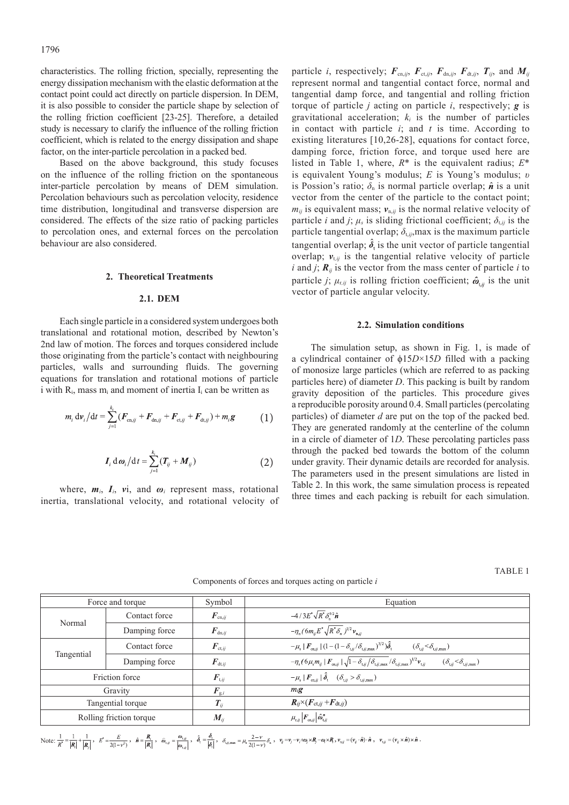characteristics. The rolling friction, specially, representing the energy dissipation mechanism with the elastic deformation at the contact point could act directly on particle dispersion. In DEM, it is also possible to consider the particle shape by selection of the rolling friction coefficient [23-25]. Therefore, a detailed study is necessary to clarify the influence of the rolling friction coefficient, which is related to the energy dissipation and shape factor, on the inter-particle percolation in a packed bed.

Based on the above background, this study focuses on the influence of the rolling friction on the spontaneous inter-particle percolation by means of DEM simulation. Percolation behaviours such as percolation velocity, residence time distribution, longitudinal and transverse dispersion are considered. The effects of the size ratio of packing particles to percolation ones, and external forces on the percolation behaviour are also considered.

# **2. Theoretical Treatments**

## **2.1. DEM**

Each single particle in a considered system undergoes both translational and rotational motion, described by Newton's 2nd law of motion. The forces and torques considered include those originating from the particle's contact with neighbouring particles, walls and surrounding fluids. The governing equations for translation and rotational motions of particle i with  $R_i$ , mass m<sub>i</sub> and moment of inertia  $I_i$  can be written as

$$
m_i \, \mathrm{d} \nu_i \big/ \mathrm{d} t = \sum_{j=1}^{k_i} (F_{\text{cn},ij} + F_{\text{dn},ij} + F_{\text{ct},ij} + F_{\text{dt},ij}) + m_i \mathbf{g} \tag{1}
$$

$$
I_i d\omega_i/dt = \sum_{j=1}^{k_i} (T_{ij} + M_{ij})
$$
 (2)

where,  $m_i$ ,  $I_i$ ,  $vi$ , and  $\omega_i$  represent mass, rotational inertia, translational velocity, and rotational velocity of particle *i*, respectively;  $F_{cn,ij}$ ,  $F_{ct,ij}$ ,  $F_{dn,ij}$ ,  $F_{dt,ij}$ ,  $T_{ij}$ , and  $M_{ij}$ represent normal and tangential contact force, normal and tangential damp force, and tangential and rolling friction torque of particle *j* acting on particle *i*, respectively; *g* is gravitational acceleration;  $k_i$  is the number of particles in contact with particle *i*; and *t* is time. According to existing literatures [10,26-28], equations for contact force, damping force, friction force, and torque used here are listed in Table 1, where, *R*\* is the equivalent radius; *E*\* is equivalent Young's modulus; *E* is Young's modulus; *υ* is Possion's ratio;  $\delta_n$  is normal particle overlap;  $\hat{n}$  is a unit vector from the center of the particle to the contact point;  $m_{ij}$  is equivalent mass;  $v_{n,ij}$  is the normal relative velocity of particle *i* and *j*;  $\mu_s$  is sliding frictional coefficient;  $\delta_{t,ij}$  is the particle tangential overlap;  $\delta_{t,ij}$ , max is the maximum particle tangential overlap;  $\delta_t$  is the unit vector of particle tangential overlap;  $v_{tji}$  is the tangential relative velocity of particle *i* and *j*;  $\mathbf{R}_{ij}$  is the vector from the mass center of particle *i* to particle *j*;  $\mu_{r,ij}$  is rolling friction coefficient;  $\hat{\omega}_{r,ij}$  is the unit vector of particle angular velocity.

#### **2.2. Simulation conditions**

The simulation setup, as shown in Fig. 1, is made of a cylindrical container of ϕ15*D*×15*D* filled with a packing of monosize large particles (which are referred to as packing particles here) of diameter *D*. This packing is built by random gravity deposition of the particles. This procedure gives a reproducible porosity around 0.4. Small particles (percolating particles) of diameter *d* are put on the top of the packed bed. They are generated randomly at the centerline of the column in a circle of diameter of 1*D*. These percolating particles pass through the packed bed towards the bottom of the column under gravity. Their dynamic details are recorded for analysis. The parameters used in the present simulations are listed in Table 2. In this work, the same simulation process is repeated three times and each packing is rebuilt for each simulation.

TABLE 1

| Components of forces and torques acting on particle i |  |  |
|-------------------------------------------------------|--|--|
|-------------------------------------------------------|--|--|

|                         | Force and torque | Symbol                            | Equation                                                                                                                                                                                                                                                                    |  |
|-------------------------|------------------|-----------------------------------|-----------------------------------------------------------------------------------------------------------------------------------------------------------------------------------------------------------------------------------------------------------------------------|--|
| Normal                  | Contact force    | $\boldsymbol{F}_{\mathrm{cn},ij}$ | $-4/3E^*\sqrt{R^*}\delta_{\rm n}^{3/2}\hat{\bm{n}}$                                                                                                                                                                                                                         |  |
|                         | Damping force    | $\boldsymbol{F}_{\mathrm{dn},ij}$ | $-\eta_{n}$ (6 $m_{ii}E^{*}\sqrt{R^{*}\delta_{n}}$ ) <sup>1/2</sup> $v_{n,ii}$                                                                                                                                                                                              |  |
| Tangential              | Contact force    | $\boldsymbol{F}_{\mathrm{ct},ij}$ | $-\mu_{\rm s}  F_{\rm cn,ii}  (1-(1-\delta_{\rm t,ii}/\delta_{\rm t,ii,max})^{3/2})\hat{\delta}_{\rm t}$<br>$(\delta_{{\rm t},ji}{<}\delta_{{\rm t},ij,{\rm max}})$                                                                                                         |  |
|                         | Damping force    | $\boldsymbol{F}_{\mathrm{dt},ij}$ | $-\eta_s (6\mu_s m_{ij} \mid \boldsymbol{F}_{\mathrm{cn},ij} \mid \sqrt{1-\delta_{\mathrm{t},ij}/\delta_{\mathrm{t},ij,\mathrm{max}}}/\delta_{\mathrm{t},ij,\mathrm{max}})^{1/2} \boldsymbol{v}_{\mathrm{t},ij}$<br>$(\delta_{{\rm t},jj}\ll\delta_{{\rm t},jj,{\rm max}})$ |  |
| Friction force          |                  | $\boldsymbol{F}_{\text{t},ij}$    | $-\mu_{\rm s} \mid F_{\rm cn, ij} \mid \hat{\delta}_{\rm t} \quad (\delta_{\rm t, ij} > \delta_{\rm t, ij, max})$                                                                                                                                                           |  |
| Gravity                 |                  | $\boldsymbol{F}_{\text{g},i}$     | $m_i$ g                                                                                                                                                                                                                                                                     |  |
| Tangential torque       |                  | $T_{ij}$                          | $R_{ij}\times (F_{\text{ct},ij}+F_{\text{dt},ij})$                                                                                                                                                                                                                          |  |
| Rolling friction torque |                  | $M_{ii}$                          | $\mu_{\mathrm{r},ij}\left F_{\mathrm{cn},ij}\right \hat{\boldsymbol{\omega}}_{\mathrm{t},ij}^{n}$                                                                                                                                                                           |  |

 $\text{Note: } \frac{1}{R^*} = \frac{1}{|R|} + \frac{1}{|R|}, \quad E^* = \frac{E}{2(1-r^2)}, \quad \hat{n} = \frac{R_i}{|R|}, \quad \hat{\omega}_{i,j} = \frac{\omega_{i,j}}{|\omega_{i,j}|}, \quad \hat{\delta}_i = \frac{\delta_i}{|\delta_i|}, \quad \delta_{ij,\text{max}} = \mu_i \frac{2-r}{2(1-r)} \delta_n, \quad \nu_{ij} = \nu_j + \omega_j \times R_j - \omega_j \times R, \quad \nu_{i,j} = (\nu_{ij} \times \hat{n}) \times \hat{n} \times \hat{n}$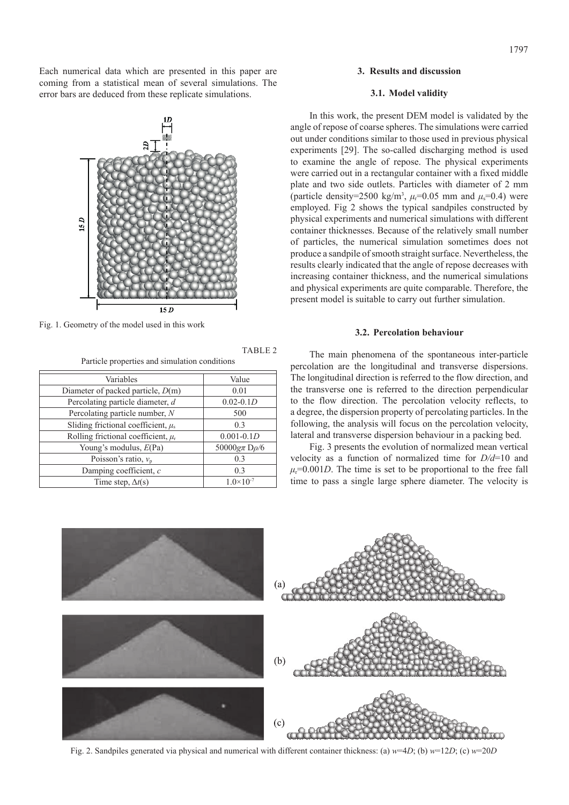Each numerical data which are presented in this paper are coming from a statistical mean of several simulations. The error bars are deduced from these replicate simulations.



Fig. 1. Geometry of the model used in this work

Particle properties and simulation conditions

| Variables                                          | Value                |
|----------------------------------------------------|----------------------|
| Diameter of packed particle, $D(m)$                | 0.01                 |
| Percolating particle diameter, d                   | $0.02 - 0.1D$        |
| Percolating particle number, N                     | 500                  |
| Sliding frictional coefficient, $\mu$ <sub>s</sub> | 0.3                  |
| Rolling frictional coefficient, $\mu_r$            | $0.001 - 0.1D$       |
| Young's modulus, $E(\text{Pa})$                    | 50000 $g\pi D\rho/6$ |
| Poisson's ratio, $v_p$                             | 0.3                  |
| Damping coefficient, c                             | 0.3                  |
| Time step, $\Delta t(s)$                           | $1.0 \times 10^{-7}$ |

#### **3. Results and discussion**

## **3.1. Model validity**

In this work, the present DEM model is validated by the angle of repose of coarse spheres. The simulations were carried out under conditions similar to those used in previous physical experiments [29]. The so-called discharging method is used to examine the angle of repose. The physical experiments were carried out in a rectangular container with a fixed middle plate and two side outlets. Particles with diameter of 2 mm (particle density=2500 kg/m<sup>3</sup>,  $\mu$ <sup>=0.05</sup> mm and  $\mu$ <sup>=0.4</sup>) were employed. Fig 2 shows the typical sandpiles constructed by physical experiments and numerical simulations with different container thicknesses. Because of the relatively small number of particles, the numerical simulation sometimes does not produce a sandpile of smooth straight surface. Nevertheless, the results clearly indicated that the angle of repose decreases with increasing container thickness, and the numerical simulations and physical experiments are quite comparable. Therefore, the present model is suitable to carry out further simulation.

## **3.2. Percolation behaviour**

The main phenomena of the spontaneous inter-particle percolation are the longitudinal and transverse dispersions. The longitudinal direction is referred to the flow direction, and the transverse one is referred to the direction perpendicular to the flow direction. The percolation velocity reflects, to a degree, the dispersion property of percolating particles. In the following, the analysis will focus on the percolation velocity, lateral and transverse dispersion behaviour in a packing bed.

Fig. 3 presents the evolution of normalized mean vertical velocity as a function of normalized time for *D/d*=10 and  $\mu$ =0.001*D*. The time is set to be proportional to the free fall time to pass a single large sphere diameter. The velocity is



TABLE 2

Fig. 2. Sandpiles generated via physical and numerical with different container thickness: (a) *w*=4*D*; (b) *w*=12*D*; (c) *w*=20*D*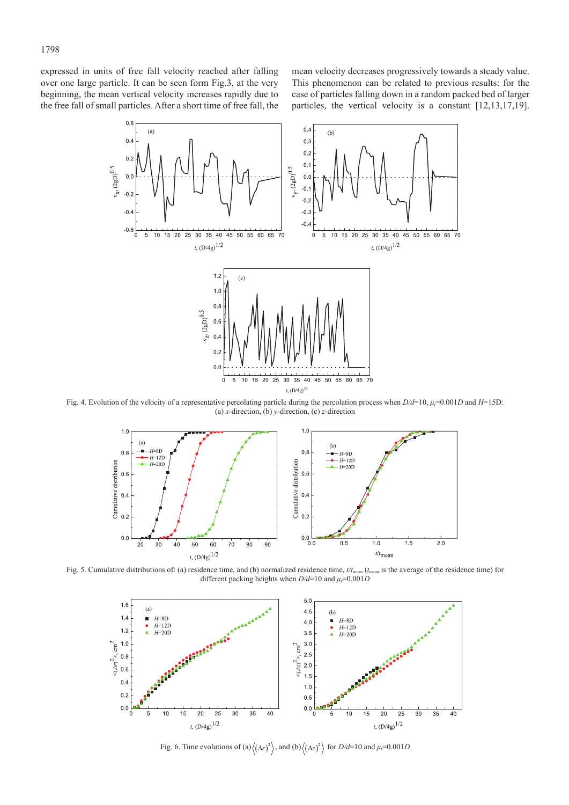expressed in units of free fall velocity reached after falling over one large particle. It can be seen form Fig.3, at the very beginning, the mean vertical velocity increases rapidly due to the free fall of small particles. After a short time of free fall, the mean velocity decreases progressively towards a steady value. This phenomenon can be related to previous results: for the case of particles falling down in a random packed bed of larger particles, the vertical velocity is a constant [12,13,17,19].



Fig. 4. Evolution of the velocity of a representative percolating particle during the percolation process when *D/d*=10, *μ*r=0.001*D* and *H*=15D: (a) *x*-direction, (b) *y*-direction, (c) *z*-direction



Fig. 5. Cumulative distributions of: (a) residence time, and (b) normalized residence time,  $t/t_{\text{mean}}$  ( $t_{\text{mean}}$  is the average of the residence time) for different packing heights when  $D/d=10$  and  $\mu_r=0.001D$ 



Fig. 6. Time evolutions of (a) $\langle (\Delta r)^2 \rangle$ , and (b) $\langle (\Delta z)^2 \rangle$  for  $D/d=10$  and  $\mu_r=0.001D$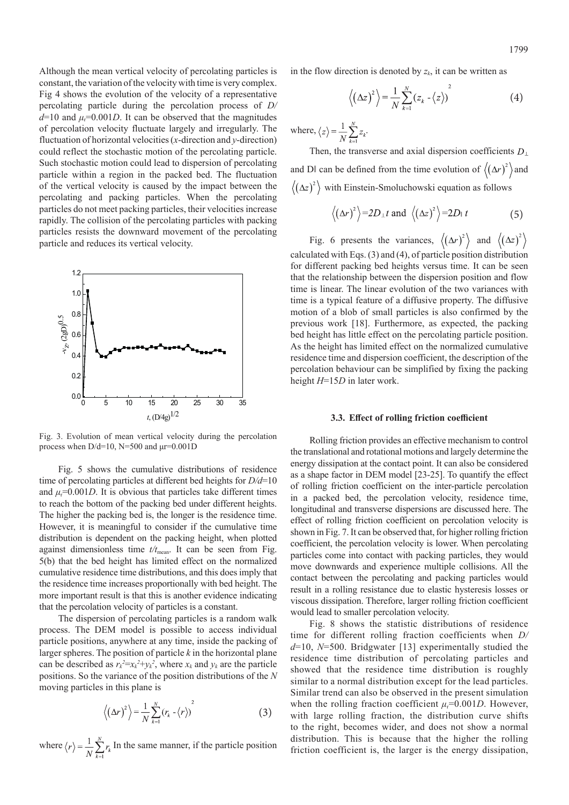Although the mean vertical velocity of percolating particles is constant, the variation of the velocity with time is very complex. Fig 4 shows the evolution of the velocity of a representative percolating particle during the percolation process of *D/*  $d=10$  and  $\mu_r=0.001D$ . It can be observed that the magnitudes of percolation velocity fluctuate largely and irregularly. The fluctuation of horizontal velocities (*x*-direction and *y*-direction) could reflect the stochastic motion of the percolating particle. Such stochastic motion could lead to dispersion of percolating particle within a region in the packed bed. The fluctuation of the vertical velocity is caused by the impact between the percolating and packing particles. When the percolating particles do not meet packing particles, their velocities increase rapidly. The collision of the percolating particles with packing particles resists the downward movement of the percolating particle and reduces its vertical velocity.



Fig. 3. Evolution of mean vertical velocity during the percolation process when  $D/d=10$ , N=500 and  $\mu$ r=0.001D

Fig. 5 shows the cumulative distributions of residence time of percolating particles at different bed heights for *D/d*=10 and  $\mu$ <sup>=0.001*D*. It is obvious that particles take different times</sup> to reach the bottom of the packing bed under different heights. The higher the packing bed is, the longer is the residence time. However, it is meaningful to consider if the cumulative time distribution is dependent on the packing height, when plotted against dimensionless time  $t/t_{\text{mean}}$ . It can be seen from Fig. 5(b) that the bed height has limited effect on the normalized cumulative residence time distributions, and this does imply that the residence time increases proportionally with bed height. The more important result is that this is another evidence indicating that the percolation velocity of particles is a constant.

The dispersion of percolating particles is a random walk process. The DEM model is possible to access individual particle positions, anywhere at any time, inside the packing of larger spheres. The position of particle *k* in the horizontal plane can be described as  $r_k^2 = x_k^2 + y_k^2$ , where  $x_k$  and  $y_k$  are the particle positions. So the variance of the position distributions of the *N* moving particles in this plane is

$$
\left\langle \left(\Delta r\right)^2 \right\rangle = \frac{1}{N} \sum_{k=1}^N \left(r_k - \left\langle r \right\rangle\right)^2 \tag{3}
$$

where  $\langle r \rangle = \frac{1}{N} \sum_{i=1}^{N} r_k$  In the same manner, if the particle position

in the flow direction is denoted by  $z<sub>k</sub>$ , it can be written as

$$
\left\langle \left(\Delta z\right)^2 \right\rangle = \frac{1}{N} \sum_{k=1}^N \left(z_k - \left\langle z \right\rangle\right)^2 \tag{4}
$$

where,  $\langle z \rangle = \frac{1}{N} \sum_{k=1}^{N} z_k$ .

Then, the transverse and axial dispersion coefficients  $D_{\perp}$ and D| can be defined from the time evolution of  $\langle (\Delta r)^2 \rangle$  and  $(\Delta z)^2$  with Einstein-Smoluchowski equation as follows

$$
\langle (\Delta r)^2 \rangle = 2D_{\perp} t
$$
 and  $\langle (\Delta z)^2 \rangle = 2D_{\perp} t$  (5)

Fig. 6 presents the variances,  $\langle (\Delta r)^2 \rangle$  and  $\langle (\Delta z)^2 \rangle$ calculated with Eqs. (3) and (4), of particle position distribution for different packing bed heights versus time. It can be seen that the relationship between the dispersion position and flow time is linear. The linear evolution of the two variances with time is a typical feature of a diffusive property. The diffusive motion of a blob of small particles is also confirmed by the previous work [18]. Furthermore, as expected, the packing bed height has little effect on the percolating particle position. As the height has limited effect on the normalized cumulative residence time and dispersion coefficient, the description of the percolation behaviour can be simplified by fixing the packing height *H*=15*D* in later work.

#### **3.3. Effect of rolling friction coefficient**

Rolling friction provides an effective mechanism to control the translational and rotational motions and largely determine the energy dissipation at the contact point. It can also be considered as a shape factor in DEM model [23-25]. To quantify the effect of rolling friction coefficient on the inter-particle percolation in a packed bed, the percolation velocity, residence time, longitudinal and transverse dispersions are discussed here. The effect of rolling friction coefficient on percolation velocity is shown in Fig. 7. It can be observed that, for higher rolling friction coefficient, the percolation velocity is lower. When percolating particles come into contact with packing particles, they would move downwards and experience multiple collisions. All the contact between the percolating and packing particles would result in a rolling resistance due to elastic hysteresis losses or viscous dissipation. Therefore, larger rolling friction coefficient would lead to smaller percolation velocity.

Fig. 8 shows the statistic distributions of residence time for different rolling fraction coefficients when *D/ d*=10, *N*=500. Bridgwater [13] experimentally studied the residence time distribution of percolating particles and showed that the residence time distribution is roughly similar to a normal distribution except for the lead particles. Similar trend can also be observed in the present simulation when the rolling fraction coefficient  $\mu_r$ =0.001*D*. However, with large rolling fraction, the distribution curve shifts to the right, becomes wider, and does not show a normal distribution. This is because that the higher the rolling friction coefficient is, the larger is the energy dissipation,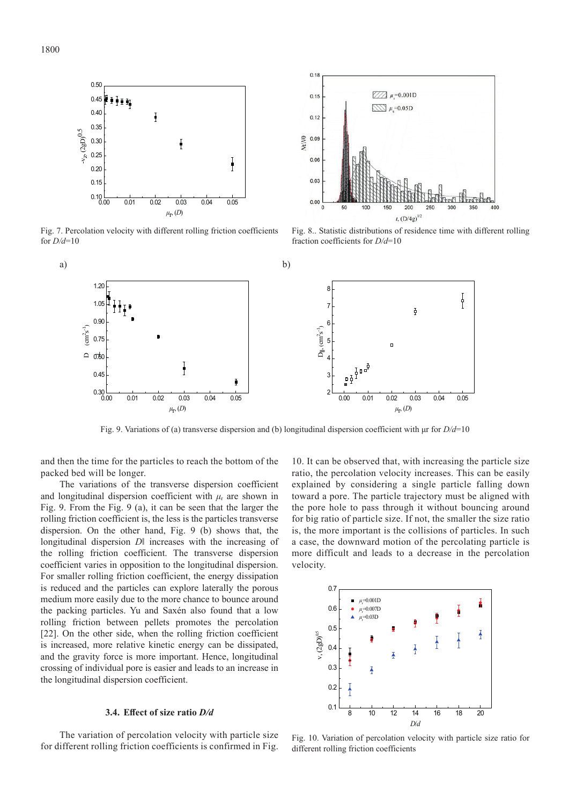

Fig. 7. Percolation velocity with different rolling friction coefficients for *D/d*=10



Fig. 8.. Statistic distributions of residence time with different rolling fraction coefficients for *D/d*=10



Fig. 9. Variations of (a) transverse dispersion and (b) longitudinal dispersion coefficient with μr for *D/d*=10

and then the time for the particles to reach the bottom of the packed bed will be longer.

The variations of the transverse dispersion coefficient and longitudinal dispersion coefficient with  $\mu_r$  are shown in Fig. 9. From the Fig. 9 (a), it can be seen that the larger the rolling friction coefficient is, the less is the particles transverse dispersion. On the other hand, Fig. 9 (b) shows that, the longitudinal dispersion *D*‖ increases with the increasing of the rolling friction coefficient. The transverse dispersion coefficient varies in opposition to the longitudinal dispersion. For smaller rolling friction coefficient, the energy dissipation is reduced and the particles can explore laterally the porous medium more easily due to the more chance to bounce around the packing particles. Yu and Saxén also found that a low rolling friction between pellets promotes the percolation [22]. On the other side, when the rolling friction coefficient is increased, more relative kinetic energy can be dissipated, and the gravity force is more important. Hence, longitudinal crossing of individual pore is easier and leads to an increase in the longitudinal dispersion coefficient.

## **3.4. Effect of size ratio** *D/d*

The variation of percolation velocity with particle size for different rolling friction coefficients is confirmed in Fig. 10. It can be observed that, with increasing the particle size ratio, the percolation velocity increases. This can be easily explained by considering a single particle falling down toward a pore. The particle trajectory must be aligned with the pore hole to pass through it without bouncing around for big ratio of particle size. If not, the smaller the size ratio is, the more important is the collisions of particles. In such a case, the downward motion of the percolating particle is more difficult and leads to a decrease in the percolation velocity.



Fig. 10. Variation of percolation velocity with particle size ratio for different rolling friction coefficients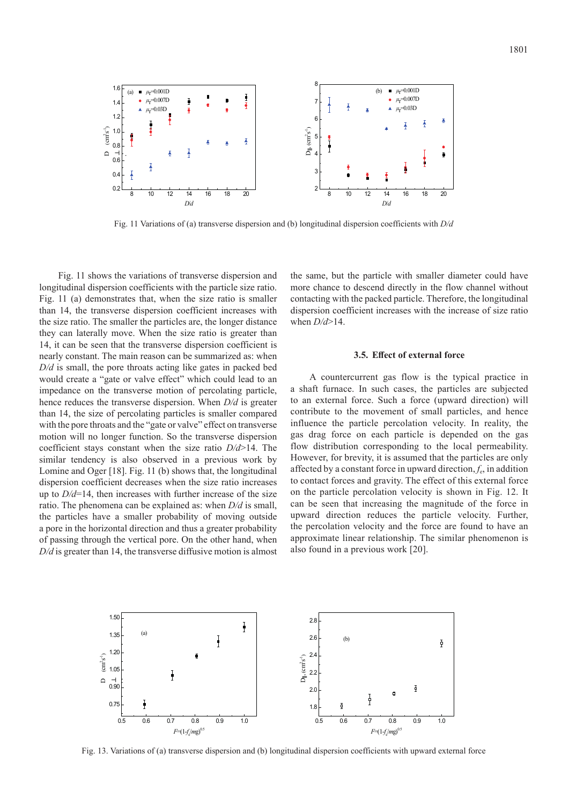

Fig. 11 Variations of (a) transverse dispersion and (b) longitudinal dispersion coefficients with *D/d* 

Fig. 11 shows the variations of transverse dispersion and longitudinal dispersion coefficients with the particle size ratio. Fig. 11 (a) demonstrates that, when the size ratio is smaller than 14, the transverse dispersion coefficient increases with the size ratio. The smaller the particles are, the longer distance they can laterally move. When the size ratio is greater than 14, it can be seen that the transverse dispersion coefficient is nearly constant. The main reason can be summarized as: when *D/d* is small, the pore throats acting like gates in packed bed would create a "gate or valve effect" which could lead to an impedance on the transverse motion of percolating particle, hence reduces the transverse dispersion. When *D/d* is greater than 14, the size of percolating particles is smaller compared with the pore throats and the "gate or valve" effect on transverse motion will no longer function. So the transverse dispersion coefficient stays constant when the size ratio *D/d*>14. The similar tendency is also observed in a previous work by Lomine and Oger [18]. Fig. 11 (b) shows that, the longitudinal dispersion coefficient decreases when the size ratio increases up to *D/d*=14, then increases with further increase of the size ratio. The phenomena can be explained as: when *D/d* is small, the particles have a smaller probability of moving outside a pore in the horizontal direction and thus a greater probability of passing through the vertical pore. On the other hand, when *D/d* is greater than 14, the transverse diffusive motion is almost the same, but the particle with smaller diameter could have more chance to descend directly in the flow channel without contacting with the packed particle. Therefore, the longitudinal dispersion coefficient increases with the increase of size ratio when *D/d*>14.

## **3.5. Effect of external force**

A countercurrent gas flow is the typical practice in a shaft furnace. In such cases, the particles are subjected to an external force. Such a force (upward direction) will contribute to the movement of small particles, and hence influence the particle percolation velocity. In reality, the gas drag force on each particle is depended on the gas flow distribution corresponding to the local permeability. However, for brevity, it is assumed that the particles are only affected by a constant force in upward direction, *f*e, in addition to contact forces and gravity. The effect of this external force on the particle percolation velocity is shown in Fig. 12. It can be seen that increasing the magnitude of the force in upward direction reduces the particle velocity. Further, the percolation velocity and the force are found to have an approximate linear relationship. The similar phenomenon is also found in a previous work [20].



Fig. 13. Variations of (a) transverse dispersion and (b) longitudinal dispersion coefficients with upward external force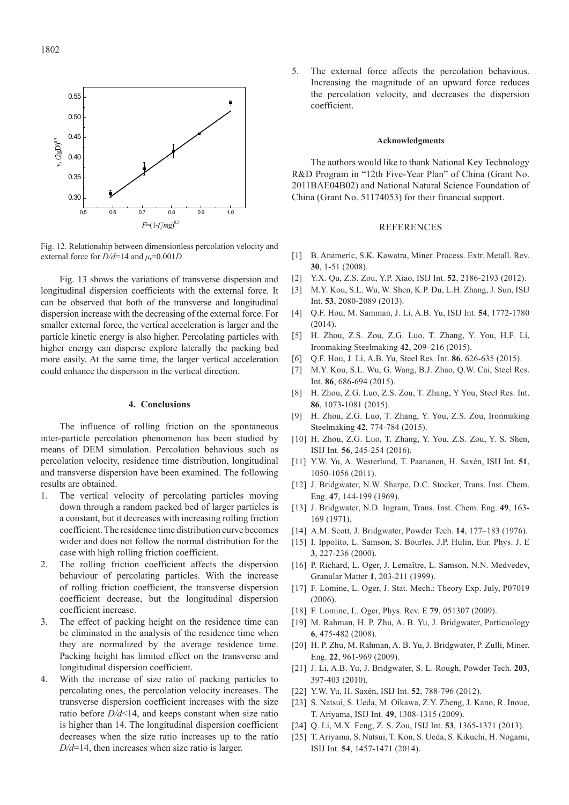

Fig. 12. Relationship between dimensionless percolation velocity and external force for  $D/d=14$  and  $\mu_r=0.001D$ 

Fig. 13 shows the variations of transverse dispersion and longitudinal dispersion coefficients with the external force. It can be observed that both of the transverse and longitudinal dispersion increase with the decreasing of the external force. For smaller external force, the vertical acceleration is larger and the particle kinetic energy is also higher. Percolating particles with higher energy can disperse explore laterally the packing bed more easily. At the same time, the larger vertical acceleration could enhance the dispersion in the vertical direction.

# **4. Conclusions**

The influence of rolling friction on the spontaneous inter-particle percolation phenomenon has been studied by means of DEM simulation. Percolation behavious such as percolation velocity, residence time distribution, longitudinal and transverse dispersion have been examined. The following results are obtained.

- 1. The vertical velocity of percolating particles moving down through a random packed bed of larger particles is a constant, but it decreases with increasing rolling friction coefficient. The residence time distribution curve becomes wider and does not follow the normal distribution for the case with high rolling friction coefficient.
- 2. The rolling friction coefficient affects the dispersion behaviour of percolating particles. With the increase of rolling friction coefficient, the transverse dispersion coefficient decrease, but the longitudinal dispersion coefficient increase.
- 3. The effect of packing height on the residence time can be eliminated in the analysis of the residence time when they are normalized by the average residence time. Packing height has limited effect on the transverse and longitudinal dispersion coefficient.
- 4. With the increase of size ratio of packing particles to percolating ones, the percolation velocity increases. The transverse dispersion coefficient increases with the size ratio before *D/d*<14, and keeps constant when size ratio is higher than 14. The longitudinal dispersion coefficient decreases when the size ratio increases up to the ratio *D/d*=14, then increases when size ratio is larger.

5. The external force affects the percolation behavious. Increasing the magnitude of an upward force reduces the percolation velocity, and decreases the dispersion coefficient.

#### **Acknowledgments**

The authors would like to thank National Key Technology R&D Program in "12th Five-Year Plan" of China (Grant No. 2011BAE04B02) and National Natural Science Foundation of China (Grant No. 51174053) for their financial support.

#### **REFERENCES**

- [1] B. Anameric, S.K. Kawatra, Miner. Process. Extr. Metall. Rev. **30**, 1-51 (2008).
- [2] Y.X. Qu, Z.S. Zou, Y.P. Xiao, ISIJ Int. **52**, 2186-2193 (2012).
- [3] M.Y. Kou, S.L. Wu, W. Shen, K.P. Du, L.H. Zhang, J. Sun, ISIJ Int. **53**, 2080-2089 (2013).
- [4] Q.F. Hou, M. Samman, J. Li, A.B. Yu, ISIJ Int. **54**, 1772-1780 (2014).
- [5] H. Zhou, Z.S. Zou, Z.G. Luo, T. Zhang, Y. You, H.F. Li, Ironmaking Steelmaking **42**, 209–216 (2015).
- [6] Q.F. Hou, J. Li, A.B. Yu, Steel Res. Int. **86**, 626-635 (2015).
- [7] M.Y. Kou, S.L. Wu, G. Wang, B.J. Zhao, Q.W. Cai, Steel Res. Int. **86**, 686-694 (2015).
- [8] H. Zhou, Z.G. Luo, Z.S. Zou, T. Zhang, Y You, Steel Res. Int. **86**, 1073-1081 (2015).
- [9] H. Zhou, Z.G. Luo, T. Zhang, Y. You, Z.S. Zou, Ironmaking Steelmaking **42**, 774-784 (2015).
- [10] H. Zhou, Z.G. Luo, T. Zhang, Y. You, Z.S. Zou, Y. S. Shen, ISIJ Int. **56**, 245-254 (2016).
- [11] Y.W. Yu, A. Westerlund, T. Paananen, H. Saxén, ISIJ Int. **51**, 1050-1056 (2011).
- [12] J. Bridgwater, N.W. Sharpe, D.C. Stocker, Trans. Inst. Chem. Eng. **47**, 144-199 (1969).
- [13] J. Bridgwater, N.D. Ingram, Trans. Inst. Chem. Eng. **49**, 163- 169 (1971).
- [14] A.M. Scott, J. Bridgwater, Powder Tech. **14**, 177–183 (1976).
- [15] I. Ippolito, L. Samson, S. Bourles, J.P. Hulin, Eur. Phys. J. E. **3**, 227-236 (2000).
- [16] P. Richard, L. Oger, J. Lemaître, L. Samson, N.N. Medvedev, Granular Matter **1**, 203-211 (1999).
- [17] F. Lomine, L. Oger, J. Stat. Mech.: Theory Exp. July, P07019 (2006).
- [18] F. Lomine, L. Oger, Phys. Rev. E **79**, 051307 (2009).
- [19] M. Rahman, H. P. Zhu, A. B. Yu, J. Bridgwater, Particuology **6**, 475-482 (2008).
- [20] H. P. Zhu, M. Rahman, A. B. Yu, J. Bridgwater, P. Zulli, Miner. Eng. **22**, 961-969 (2009).
- [21] J. Li, A.B. Yu, J. Bridgwater, S. L. Rough, Powder Tech. **203**, 397-403 (2010).
- [22] Y.W. Yu, H. Saxén, ISIJ Int. **52**, 788-796 (2012).
- [23] S. Natsui, S. Ueda, M. Oikawa, Z.Y. Zheng, J. Kano, R. Inoue, T. Ariyama, ISIJ Int. **49**, 1308-1315 (2009).
- [24] Q. Li, M.X. Feng, Z. S. Zou, ISIJ Int. **53**, 1365-1371 (2013).
- [25] T. Ariyama, S. Natsui, T. Kon, S. Ueda, S. Kikuchi, H. Nogami, ISIJ Int. **54**, 1457-1471 (2014).